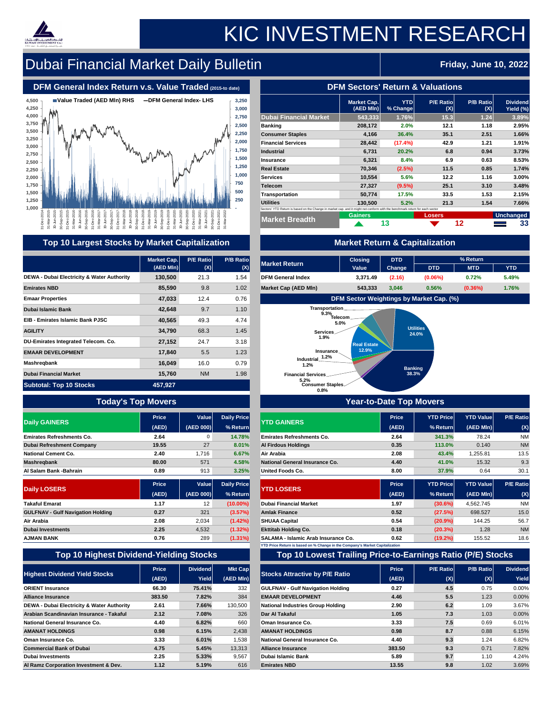|                                                                                                                              | <b>Market Cap.</b><br>$(AED$ Mln $) $ | <b>YTD</b><br>% Change | <b>P/E Ratio</b><br>(X) | <b>P/B Ratio</b><br>(X) | <b>Dividend</b><br>Yield (%) |
|------------------------------------------------------------------------------------------------------------------------------|---------------------------------------|------------------------|-------------------------|-------------------------|------------------------------|
| <b>Dubai Financial Market</b>                                                                                                | 543,333                               | 1.76%                  | 15.3                    | 1.24                    | 3.89%                        |
| <b>Banking</b>                                                                                                               | 208,172                               | 2.0%                   | 12.1                    | 1.18                    | 2.95%                        |
| <b>Consumer Staples</b>                                                                                                      | 4,166                                 | 36.4%                  | 35.1                    | 2.51                    | 1.66%                        |
| <b>Financial Services</b>                                                                                                    | 28,442                                | $(17.4\%)$             | 42.9                    | 1.21                    | 1.91%                        |
| <b>Industrial</b>                                                                                                            | 6,731                                 | 20.2%                  | 6.8                     | 0.94                    | 3.73%                        |
| <b>Insurance</b>                                                                                                             | 6,321                                 | 8.4%                   | 6.9                     | 0.63                    | 8.53%                        |
| <b>Real Estate</b>                                                                                                           | 70,346                                | $(2.5\%)$              | 11.5                    | 0.85                    | 1.74%                        |
| <b>Services</b>                                                                                                              | 10,554                                | 5.6%                   | 12.2                    | 1.16                    | 3.00%                        |
| <b>Telecom</b>                                                                                                               | 27,327                                | $(9.5\%)$              | 25.1                    | 3.10                    | 3.48%                        |
| Transportation                                                                                                               | 50,774                                | 17.5%                  | 33.5                    | 1.53                    | 2.15%                        |
| <b>Utilities</b>                                                                                                             | 130,500                               | 5.2%                   | 21.3                    | 1.54                    | 7.66%                        |
| Sectors' YTD Return is based on the Change in market cap. and it might not conform with the benchmark return for each sector |                                       |                        |                         |                         |                              |
| <b>Market Breadth</b>                                                                                                        | <b>Gainers</b>                        |                        | <b>Losers</b>           |                         | Unchanged                    |
|                                                                                                                              |                                       | 13                     |                         | 12                      | 33                           |
|                                                                                                                              |                                       |                        |                         |                         |                              |

|                                                       | <b>Market Cap.</b><br>$(AED$ MIn) | <b>P/B Ratio</b><br><b>P/E Ratio</b><br><b>Market Return</b><br>(X)<br>(X) |                    | <b>Closing</b><br>Value                                                                                                           | <b>DTD</b><br><b>Change</b>    | <b>DTD</b>              | % Return<br><b>MTD</b>                          | <b>YTD</b>       |                  |
|-------------------------------------------------------|-----------------------------------|----------------------------------------------------------------------------|--------------------|-----------------------------------------------------------------------------------------------------------------------------------|--------------------------------|-------------------------|-------------------------------------------------|------------------|------------------|
| <b>DEWA - Dubai Electricity &amp; Water Authority</b> | 130,500                           | 21.3                                                                       | 1.54               | <b>DFM General Index</b>                                                                                                          | 3,371.49                       | (2.16)                  | $(0.06\%)$                                      | 0.72%            | 5.49%            |
| <b>Emirates NBD</b>                                   | 85,590                            | 9.8                                                                        | 1.02               | <b>Market Cap (AED MIn)</b>                                                                                                       | 543,333                        | 3,046                   | 0.56%                                           | $(0.36\%)$       | 1.76%            |
| <b>Emaar Properties</b>                               | 47,033                            | 12.4                                                                       | 0.76               |                                                                                                                                   |                                |                         | <b>DFM Sector Weightings by Market Cap. (%)</b> |                  |                  |
| <b>Dubai Islamic Bank</b>                             | 42,648                            | 9.7                                                                        | 1.10               | Transportation                                                                                                                    |                                |                         |                                                 |                  |                  |
| <b>EIB - Emirates Islamic Bank PJSC</b>               | 40,565                            | 49.3                                                                       | 4.74               | $9.3\%$<br>Telecom_<br>5.0%                                                                                                       |                                |                         |                                                 |                  |                  |
| <b>AGILITY</b>                                        | 34,790                            | 68.3                                                                       | 1.45               | Services                                                                                                                          |                                |                         | <b>Utilities</b><br>24.0%                       |                  |                  |
| <b>DU-Emirates Integrated Telecom. Co.</b>            | 27,152                            | 24.7                                                                       | 3.18               | 1.9%                                                                                                                              | <b>Real Estate</b>             |                         |                                                 |                  |                  |
| <b>EMAAR DEVELOPMENT</b>                              | 17,840                            | 5.5                                                                        | 1.23               | <b>Insurance</b>                                                                                                                  | 12.9%                          |                         |                                                 |                  |                  |
| <b>Mashregbank</b>                                    | 16,049                            | 16.0                                                                       | 0.79               | Industrial_1.2%<br>1.2%                                                                                                           |                                |                         |                                                 |                  |                  |
| <b>Dubai Financial Market</b>                         | 15,760                            | <b>NM</b>                                                                  | 1.98               | <b>Financial Services</b>                                                                                                         |                                | <b>Banking</b><br>38.3% |                                                 |                  |                  |
| <b>Subtotal: Top 10 Stocks</b>                        | 457,927                           |                                                                            |                    | 5.2%<br><b>Consumer Staples</b>                                                                                                   |                                |                         |                                                 |                  |                  |
| <b>Today's Top Movers</b>                             |                                   |                                                                            |                    | 0.8%                                                                                                                              | <b>Year-to-Date Top Movers</b> |                         |                                                 |                  |                  |
|                                                       | <b>Price</b>                      | Value                                                                      | <b>Daily Price</b> |                                                                                                                                   |                                | <b>Price</b>            | <b>YTD Price</b>                                | <b>YTD Value</b> | <b>P/E Ratio</b> |
| <b>Daily GAINERS</b>                                  | (AED)                             | (AED 000)                                                                  | % Return           | <b>YTD GAINERS</b>                                                                                                                |                                | (AED)                   | $%$ Return                                      | $(AED$ MIn $)$   | (X)              |
| <b>Emirates Refreshments Co.</b>                      | 2.64                              | $\overline{0}$                                                             | 14.78%             | <b>Emirates Refreshments Co.</b>                                                                                                  |                                | 2.64                    | 341.3%                                          | 78.24            | <b>NM</b>        |
| <b>Dubai Refreshment Company</b>                      | 19.55                             | 27                                                                         | 8.01%              | <b>Al Firdous Holdings</b>                                                                                                        |                                | 0.35                    | 113.0%                                          | 0.140            | <b>NM</b>        |
| <b>National Cement Co.</b>                            | 2.40                              | 1,716                                                                      | 6.67%              | Air Arabia                                                                                                                        |                                | 2.08                    | 43.4%                                           | 1,255.81         | 13.5             |
| <b>Mashregbank</b>                                    | 80.00                             | 571                                                                        | 4.58%              | <b>National General Insurance Co.</b>                                                                                             |                                | 4.40                    | 41.0%                                           | 15.32            | 9.3              |
| <b>Al Salam Bank -Bahrain</b>                         | 0.89                              | 913                                                                        | 3.25%              | <b>United Foods Co.</b>                                                                                                           |                                | 8.00                    | 37.9%                                           | 0.64             | 30.1             |
|                                                       | <b>Price</b>                      | <b>Value</b>                                                               | <b>Daily Price</b> |                                                                                                                                   |                                | <b>Price</b>            | <b>YTD Price</b>                                | <b>YTD Value</b> | <b>P/E Ratio</b> |
| <b>Daily LOSERS</b>                                   | (AED)                             | $(\mathsf{AED}\ 000) $                                                     | % Return           | <b>YTD LOSERS</b>                                                                                                                 |                                | (AED)                   | $%$ Return                                      | $(AED$ MIn $)$   | (X)              |
| <b>Takaful Emarat</b>                                 | 1.17                              | 12                                                                         | $(10.00\%)$        | <b>Dubai Financial Market</b>                                                                                                     |                                | 1.97                    | $(30.6\%)$                                      | 4,562.745        | <b>NM</b>        |
| <b>GULFNAV - Gulf Navigation Holding</b>              | 0.27                              | 321                                                                        | $(3.57\%)$         | <b>Amlak Finance</b>                                                                                                              |                                | 0.52                    | (27.5%)                                         | 698.527          | 15.0             |
| <b>Air Arabia</b>                                     | 2.08                              | 2,034                                                                      | $(1.42\%)$         | <b>SHUAA Capital</b>                                                                                                              |                                | 0.54                    | (20.9%                                          | 144.25           | 56.7             |
| <b>Dubai Investments</b>                              | 2.25                              | 4,532                                                                      | $(1.32\%)$         | <b>Ekttitab Holding Co.</b>                                                                                                       |                                | 0.18                    | $(20.3\%)$                                      | 1.28             | <b>NM</b>        |
| <b>AJMAN BANK</b>                                     | 0.76                              | 289                                                                        | $(1.31\%)$         | <b>SALAMA - Islamic Arab Insurance Co.</b><br><b>YTD Price Return is based on % Change in the Company's Market Capitalization</b> |                                | 0.62                    | (19.2%)                                         | 155.52           | 18.6             |

| <b>Market Return</b>        | <b>Closing</b> | <b>DTD</b>    |            | % Return   |            |  |  |  |  |  |  |
|-----------------------------|----------------|---------------|------------|------------|------------|--|--|--|--|--|--|
|                             | <b>Value</b>   | <b>Change</b> | <b>DTD</b> | <b>MTD</b> | <b>YTD</b> |  |  |  |  |  |  |
| <b>DFM General Index</b>    | 3,371.49       | (2.16)        | $(0.06\%)$ | 0.72%      | 5.49%      |  |  |  |  |  |  |
| <b>Market Cap (AED MIn)</b> | 543,333        | 3,046         | 0.56%      | $(0.36\%)$ | 1.76%      |  |  |  |  |  |  |



# **Top 10 Highest Dividend-Yielding Stocks Top 10 Lowest Trailing Price-to-Earnings Ratio (P/E) Stocks**

|                                                       | <b>Price</b> | <b>Dividend</b> | <b>Mkt Cap</b> |                                          | <b>Price</b> | <b>P/E Ratiol</b> | <b>P/B Ratio</b> | <b>Dividend</b> |
|-------------------------------------------------------|--------------|-----------------|----------------|------------------------------------------|--------------|-------------------|------------------|-----------------|
| <b>Highest Dividend Yield Stocks</b>                  | (AED)        | <b>Yield</b>    | (AED MIn)      | <b>Stocks Attractive by P/E Ratio</b>    | (AED)        | (X)               | (X)              | Yield           |
| <b>ORIENT Insurance</b>                               | 66.30        | 75.41%          | 332            | <b>GULFNAV - Gulf Navigation Holding</b> | 0.27         | 4.5               | 0.75             | 0.00%           |
| <b>Alliance Insurance</b>                             | 383.50       | 7.82%           | 384            | <b>EMAAR DEVELOPMENT</b>                 | 4.46         | 5.5               | 1.23             | 0.00%           |
| <b>DEWA - Dubai Electricity &amp; Water Authority</b> | 2.61         | 7.66%           | 130,500        | <b>National Industries Group Holding</b> | 2.90         | 6.2               | 1.09             | 3.67%           |
| Arabian Scandinavian Insurance - Takaful              | 2.12         | 7.08%           | 326            | Dar Al Takaful                           | 1.05         | 7.3               | 1.03             | 0.00%           |
| <b>National General Insurance Co.</b>                 | 4.40         | 6.82%           | 660            | <b>Oman Insurance Co.</b>                | 3.33         | 7.5               | 0.69             | 6.01%           |
| <b>AMANAT HOLDINGS</b>                                | 0.98         | 6.15%           | 2,438          | <b>AMANAT HOLDINGS</b>                   | 0.98         | 8.7               | 0.88             | 6.15%           |
| <b>Oman Insurance Co.</b>                             | 3.33         | 6.01%           | 1,538          | <b>National General Insurance Co.</b>    | 4.40         | 9.3               | 1.24             | 6.82%           |
| <b>Commercial Bank of Dubai</b>                       | 4.75         | 5.45%           | 13,313         | <b>Alliance Insurance</b>                | 383.50       | 9.3               | 0.71             | 7.82%           |
| <b>Dubai Investments</b>                              | 2.25         | 5.33%           | 9,567          | <b>Dubai Islamic Bank</b>                | 5.89         | 9.7               | 1.10             | 4.24%           |
| Al Ramz Corporation Investment & Dev.                 | 1.12         | 5.19%           | 616            | <b>Emirates NBD</b>                      | 13.55        | 9.8               | 1.02             | 3.69%           |



# KIC INVESTMENT RESEARCH

# **Dubai Financial Market Daily Bulletin Friday, June 10, 2022**

## **DFM General Index Return v.s. Value Traded** (2015-to date) **DEM Sectors' Return & Valuations**

| 1,500                                                                                                                                                                                                                                                                                                                                                                                                                                                                                                                                                                                                                                                                                                                                                                                                                                                                                                                                                                                                                                                                                                                                                                                                                                                                                                                                                            | 500                                          |
|------------------------------------------------------------------------------------------------------------------------------------------------------------------------------------------------------------------------------------------------------------------------------------------------------------------------------------------------------------------------------------------------------------------------------------------------------------------------------------------------------------------------------------------------------------------------------------------------------------------------------------------------------------------------------------------------------------------------------------------------------------------------------------------------------------------------------------------------------------------------------------------------------------------------------------------------------------------------------------------------------------------------------------------------------------------------------------------------------------------------------------------------------------------------------------------------------------------------------------------------------------------------------------------------------------------------------------------------------------------|----------------------------------------------|
| 1,250                                                                                                                                                                                                                                                                                                                                                                                                                                                                                                                                                                                                                                                                                                                                                                                                                                                                                                                                                                                                                                                                                                                                                                                                                                                                                                                                                            | 250                                          |
| 1,000                                                                                                                                                                                                                                                                                                                                                                                                                                                                                                                                                                                                                                                                                                                                                                                                                                                                                                                                                                                                                                                                                                                                                                                                                                                                                                                                                            |                                              |
| LΩ.<br>LO.<br>œ<br>$\infty$<br>ဖ<br>ഗ<br>ထ<br>ထ<br>တ<br>ᡪ<br>ഥ<br>ന<br>c<br>ω<br>O)<br>O)<br>9)<br>ᅮ<br>202<br>202<br>202<br>202<br>202<br>202<br>202<br>20<br>201<br>Ó<br>Q<br>$\overline{O}$<br>$\overline{0}$<br>20<br>20<br>$\Omega$<br>$\overline{\mathcal{S}}$<br>20<br>$\overline{C}$<br>20<br>$\overline{20}$<br>$\overline{C}$<br>$\Omega$<br>$\overline{S}$<br>$\Omega$<br>പ്<br>$\breve{\mathsf{N}}$<br>$\breve{\mathsf{N}}$<br>$\breve{\mathsf{N}}$<br>$\overline{N}$<br>-Dec-<br><u>ဝ</u><br>Sep<br>ခု<br><b>Q</b><br>Sep<br>Nar<br>ie <sub>N-</sub><br>le<br>N-<br>$\overline{a}$<br>$\overline{\omega}$<br>$\overline{\mathbb{G}}$<br>$\overline{\Xi}$<br>⋾<br>$\overline{\Phi}$<br>$\overline{\Phi}$<br>ھ<br>ص<br>Φ<br>Ф<br>Φ<br>$\omega$<br>$\Box$<br><b>△</b><br>$\Omega$<br>$\overline{O}$<br>S<br>$\boldsymbol{\omega}$<br>S<br>≃<br>$\overline{\mathcal{S}}$<br>$\infty$<br>$\infty$<br><u>၃၃</u><br>$\infty$<br>$\infty$<br>$\infty$<br>$\overline{\mathcal{E}}$<br>$\overline{\mathfrak{S}}$<br>$\overline{\mathfrak{S}}$<br>$\overline{\mathfrak{S}}$<br>$\overline{\mathcal{E}}$<br>$\infty$<br>SO.<br>တွ<br>ვე<br>$\overline{3}$<br>$\infty$<br>$\infty$<br>$\infty$<br>$\overline{\mathcal{E}}$<br>$\overline{\mathcal{E}}$<br>$\overline{\mathfrak{S}}$<br>$\overline{\Omega}$<br>္က<br>$\infty$<br>$\infty$<br>$\infty$<br>$\infty$ | $\mathbf{\Omega}$<br>202<br>$\bar{\Xi}$<br>S |

## **Top 10 Largest Stocks by Market Capitalization 1999 10 Market Return & Capitalization**

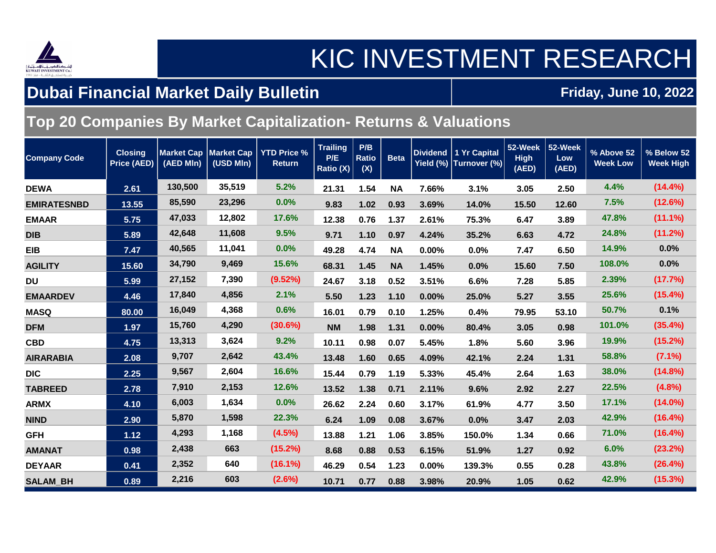

## KIC INVESTMENT RESEARCH

#### **Dubai Financial Market Daily Bulletin**

#### **Friday, June 10, 2022**

#### **Top 20 Companies By Market Capitalization- Returns & Valuations**

| <b>Company Code</b> | <b>Closing</b><br><b>Price (AED)</b> | <b>Market Cap</b><br>(AED MIn) | <b>Market Cap</b><br>(USD MIn) | <b>YTD Price %</b><br><b>Return</b> | <b>Trailing</b><br>P/E<br>Ratio (X) | P/B<br><b>Ratio</b><br>(X) | <b>Beta</b> |          | Dividend   1 Yr Capital | 52-Week<br><b>High</b><br>(AED) | 52-Week<br>Low<br>(AED) | % Above 52<br><b>Week Low</b> | % Below 52<br><b>Week High</b> |
|---------------------|--------------------------------------|--------------------------------|--------------------------------|-------------------------------------|-------------------------------------|----------------------------|-------------|----------|-------------------------|---------------------------------|-------------------------|-------------------------------|--------------------------------|
| <b>DEWA</b>         | 2.61                                 | 130,500                        | 35,519                         | 5.2%                                | 21.31                               | 1.54                       | <b>NA</b>   | 7.66%    | 3.1%                    | 3.05                            | 2.50                    | 4.4%                          | $(14.4\%)$                     |
| <b>EMIRATESNBD</b>  | 13.55                                | 85,590                         | 23,296                         | 0.0%                                | 9.83                                | 1.02                       | 0.93        | 3.69%    | 14.0%                   | 15.50                           | 12.60                   | 7.5%                          | (12.6%)                        |
| <b>EMAAR</b>        | 5.75                                 | 47,033                         | 12,802                         | 17.6%                               | 12.38                               | 0.76                       | 1.37        | 2.61%    | 75.3%                   | 6.47                            | 3.89                    | 47.8%                         | (11.1%)                        |
| <b>DIB</b>          | 5.89                                 | 42,648                         | 11,608                         | 9.5%                                | 9.71                                | 1.10                       | 0.97        | 4.24%    | 35.2%                   | 6.63                            | 4.72                    | 24.8%                         | (11.2%)                        |
| <b>EIB</b>          | 7.47                                 | 40,565                         | 11,041                         | 0.0%                                | 49.28                               | 4.74                       | <b>NA</b>   | 0.00%    | 0.0%                    | 7.47                            | 6.50                    | 14.9%                         | 0.0%                           |
| <b>AGILITY</b>      | 15.60                                | 34,790                         | 9,469                          | 15.6%                               | 68.31                               | 1.45                       | <b>NA</b>   | 1.45%    | 0.0%                    | 15.60                           | 7.50                    | 108.0%                        | 0.0%                           |
| <b>DU</b>           | 5.99                                 | 27,152                         | 7,390                          | (9.52%)                             | 24.67                               | 3.18                       | 0.52        | 3.51%    | 6.6%                    | 7.28                            | 5.85                    | 2.39%                         | (17.7%)                        |
| <b>EMAARDEV</b>     | 4.46                                 | 17,840                         | 4,856                          | 2.1%                                | 5.50                                | 1.23                       | 1.10        | $0.00\%$ | 25.0%                   | 5.27                            | 3.55                    | 25.6%                         | (15.4%)                        |
| <b>MASQ</b>         | 80.00                                | 16,049                         | 4,368                          | 0.6%                                | 16.01                               | 0.79                       | 0.10        | 1.25%    | 0.4%                    | 79.95                           | 53.10                   | 50.7%                         | 0.1%                           |
| <b>DFM</b>          | 1.97                                 | 15,760                         | 4,290                          | (30.6%)                             | <b>NM</b>                           | 1.98                       | 1.31        | $0.00\%$ | 80.4%                   | 3.05                            | 0.98                    | 101.0%                        | (35.4%)                        |
| <b>CBD</b>          | 4.75                                 | 13,313                         | 3,624                          | 9.2%                                | 10.11                               | 0.98                       | 0.07        | 5.45%    | 1.8%                    | 5.60                            | 3.96                    | 19.9%                         | (15.2%)                        |
| <b>AIRARABIA</b>    | 2.08                                 | 9,707                          | 2,642                          | 43.4%                               | 13.48                               | 1.60                       | 0.65        | 4.09%    | 42.1%                   | 2.24                            | 1.31                    | 58.8%                         | $(7.1\%)$                      |
| <b>DIC</b>          | 2.25                                 | 9,567                          | 2,604                          | 16.6%                               | 15.44                               | 0.79                       | 1.19        | 5.33%    | 45.4%                   | 2.64                            | 1.63                    | 38.0%                         | (14.8%)                        |
| <b>TABREED</b>      | 2.78                                 | 7,910                          | 2,153                          | 12.6%                               | 13.52                               | 1.38                       | 0.71        | 2.11%    | 9.6%                    | 2.92                            | 2.27                    | 22.5%                         | $(4.8\%)$                      |
| <b>ARMX</b>         | 4.10                                 | 6,003                          | 1,634                          | 0.0%                                | 26.62                               | 2.24                       | 0.60        | 3.17%    | 61.9%                   | 4.77                            | 3.50                    | 17.1%                         | $(14.0\%)$                     |
| <b>NIND</b>         | 2.90                                 | 5,870                          | 1,598                          | 22.3%                               | 6.24                                | 1.09                       | 0.08        | 3.67%    | 0.0%                    | 3.47                            | 2.03                    | 42.9%                         | (16.4%)                        |
| <b>GFH</b>          | 1.12                                 | 4,293                          | 1,168                          | (4.5%)                              | 13.88                               | 1.21                       | 1.06        | 3.85%    | 150.0%                  | 1.34                            | 0.66                    | 71.0%                         | (16.4%)                        |
| <b>AMANAT</b>       | 0.98                                 | 2,438                          | 663                            | (15.2%)                             | 8.68                                | 0.88                       | 0.53        | 6.15%    | 51.9%                   | 1.27                            | 0.92                    | 6.0%                          | (23.2%)                        |
| <b>DEYAAR</b>       | 0.41                                 | 2,352                          | 640                            | $(16.1\%)$                          | 46.29                               | 0.54                       | 1.23        | $0.00\%$ | 139.3%                  | 0.55                            | 0.28                    | 43.8%                         | (26.4%)                        |
| <b>SALAM_BH</b>     | 0.89                                 | 2,216                          | 603                            | (2.6%)                              | 10.71                               | 0.77                       | 0.88        | 3.98%    | 20.9%                   | 1.05                            | 0.62                    | 42.9%                         | (15.3%)                        |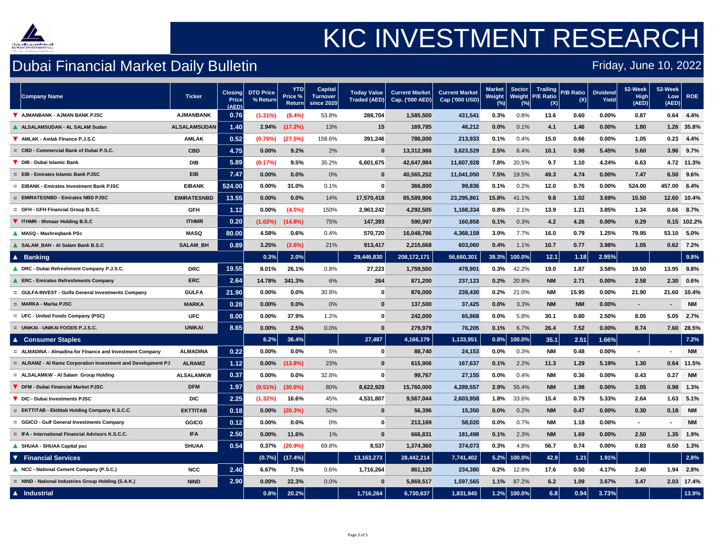

## Dubai Financial Market Daily Bulletin

| Company Name                                                   | <b>Ticker</b>      | <b>Closing</b><br><b>Price</b><br>(AED) | DTD Price<br>$%$ Return | <b>YTD</b><br>Price %<br><b>Return</b> | <b>Capital</b><br><b>Turnover</b><br>since 2020 | <b>Today Value</b><br><b>Traded (AED)</b> | <b>Current Market</b><br>Cap. $(000$ AED) | <b>Current Market</b><br>Cap ('000 USD) | Market<br><b>Weight</b> | Sector<br><b>Weight</b> | <b>P/E Ratio</b><br>(X) | Trailing P/B Ratio<br>(X) | <b>Dividend</b><br>Yield | $52$ -Week<br>High<br>(AED) | 52-Week<br>Low<br>(AED) | <b>ROE</b>  |
|----------------------------------------------------------------|--------------------|-----------------------------------------|-------------------------|----------------------------------------|-------------------------------------------------|-------------------------------------------|-------------------------------------------|-----------------------------------------|-------------------------|-------------------------|-------------------------|---------------------------|--------------------------|-----------------------------|-------------------------|-------------|
| <b>AJMANBANK - AJMAN BANK PJSC</b>                             | <b>AJMANBANK</b>   | 0.76                                    | $(1.31\%)$              | $(8.4\%)$                              | 53.8%                                           | 288,704                                   | 1,585,500                                 | 431,541                                 | 0.3%                    | 0.8%                    | 13.6                    | 0.60                      | $0.00\%$                 | 0.87                        | 0.64                    | 4.4%        |
| <b>ALSALAMSUDAN - AL SALAM Sudan</b>                           | ALSALAMSUDAN       | 1.40                                    | 2.94%                   | (17.2%)                                | 13%                                             | 15                                        | 169,785                                   | 46,212                                  | 0.0%                    | 0.1%                    | 4.1                     | 1.46                      | $0.00\%$                 | 1.80                        | 1.26                    | 35.8%       |
| AMLAK - Amlak Finance P.J.S.C                                  | <b>AMLAK</b>       | 0.52                                    | (0.76%)                 | (27.5%)                                | 158.6%                                          | 391,246                                   | 786,000                                   | 213,933                                 | 0.1%                    | 0.4%                    | 15.0                    | 0.66                      | $0.00\%$                 | 1.05                        | 0.23                    | 4.4%        |
| - Commercial Bank of Dubai P.S.C.<br>$=$ CBD -                 | <b>CBD</b>         | 4.75                                    | $0.00\%$                | 9.2%                                   | 2%                                              | $\mathbf 0$                               | 13,312,986                                | 3,623,529                               | 2.5%                    | 6.4%                    | 10.1                    | 0.98                      | 5.45%                    | 5.60                        | 3.96                    | 9.7%        |
| DIB - Dubai Islamic Bank                                       | <b>DIB</b>         | 5.89                                    | (0.17%)                 | 9.5%                                   | 35.2%                                           | 6,601,675                                 | 42,647,984                                | 11,607,928                              | 7.8%                    | 20.5%                   | 9.7                     | 1.10                      | 4.24%                    | 6.63                        | 4.72                    | 11.3%       |
| $=$ EIB - Emirates Islamic Bank PJSC                           | <b>EIB</b>         | 7.47                                    | $0.00\%$                | 0.0%                                   | $0\%$                                           | $\bf{0}$                                  | 40,565,252                                | 11,041,050                              | 7.5%                    | 19.5%                   | 49.3                    | 4.74                      | $0.00\%$                 | 7.47                        | 6.50                    | 9.6%        |
| $=$ EIBANK - Emirates Investment Bank PJSC                     | <b>EIBANK</b>      | 524.00                                  | $0.00\%$                | 31.0%                                  | 0.1%                                            | $\mathbf{0}$                              | 366,800                                   | 99,836                                  | 0.1%                    | 0.2%                    | 12.0                    | 0.76                      | $0.00\%$                 | 524.00                      | 457.00                  | 6.4%        |
| $=$ EMIRATESNBD - Emirates NBD PJSC                            | <b>EMIRATESNBD</b> | 13.55                                   | $0.00\%$                | $0.0\%$                                | 14%                                             | 17,570,418                                | 85,589,906                                | 23,295,861                              | 15.8%                   | 41.1%                   | 9.8                     | 1.02                      | 3.69%                    | 15.50                       |                         | 12.60 10.4% |
| - GFH Financial Group B.S.C.<br>$=$ GFH                        | <b>GFH</b>         | 1.12                                    | $0.00\%$                | (4.5%)                                 | 150%                                            | 2,963,242                                 | 4,292,505                                 | 1,168,334                               | 0.8%                    | 2.1%                    | 13.9                    | 1.21                      | 3.85%                    | 1.34                        | 0.66                    | 8.7%        |
| <b>V</b> ITHMR - Ithmaar Holding B.S.C                         | <b>ITHMR</b>       | 0.20                                    | $(1.02\%)$              | $(14.8\%)$                             | 75%                                             | 147,393                                   | 590,997                                   | 160,858                                 | 0.1%                    | 0.3%                    | 4.2                     | 4.26                      | $0.00\%$                 | 0.29                        |                         | 0.15 102.2% |
| <b>MASQ - Mashregbank PSc</b>                                  | <b>MASQ</b>        | 80.00                                   | 4.58%                   | 0.6%                                   | 0.4%                                            | 570,720                                   | 16,048,786                                | 4,368,159                               | 3.0%                    | 7.7%                    | 16.0                    | 0.79                      | 1.25%                    | 79.95                       | 53.10                   | $5.0\%$     |
| <b>SALAM_BAH - AI Salam Bank B.S.C</b>                         | <b>SALAM_BH</b>    | 0.89                                    | 3.25%                   | $(2.6\%)$                              | 21%                                             | 913,417                                   | 2,215,668                                 | 603,060                                 | 0.4%                    | 1.1%                    | 10.7                    | 0.77                      | 3.98%                    | 1.05                        | 0.62                    | 7.2%        |
| <b>A</b> Banking                                               |                    |                                         | 0.3%                    | 2.0%                                   |                                                 | 29,446,830                                | 208, 172, 171                             | 56,660,301                              | 38.3%                   | 100.0%                  | 12.1                    | 1.18                      | 2.95%                    |                             |                         | 9.8%        |
| DRC - Dubai Refreshment Company P.J.S.C.                       | <b>DRC</b>         | 19.55                                   | $8.01\%$                | 26.1%                                  | 0.8%                                            | 27,223                                    | 1,759,500                                 | 478,901                                 | 0.3%                    | 42.2%                   | 19.0                    | 1.87                      | 3.58%                    | 19.50                       | 13.95                   | $9.8\%$     |
| <b>ERC - Emirates Refreshments Company</b>                     | <b>ERC</b>         | 2.64                                    | 14.78%                  | 341.3%                                 | 6%                                              | 264                                       | 871,200                                   | 237,123                                 | 0.2%                    | 20.9%                   | <b>NM</b>               | 2.71                      | $0.00\%$                 | 2.58                        | 2.30                    | 0.6%        |
| $=$ GULFA-INVEST - Gulfa General Investments Company           | <b>GULFA</b>       | 21.90                                   | $0.00\%$                | 0.0%                                   | 30.8%                                           | $\bf{0}$                                  | 876,000                                   | 238,430                                 | 0.2%                    | 21.0%                   | <b>NM</b>               | 15.95                     | $0.00\%$                 | 21.90                       |                         | 21.60 10.4% |
| $=$ MARKA - Marka PJSC                                         | <b>MARKA</b>       | 0.28                                    | $0.00\%$                | 0.0%                                   | $0\%$                                           | $\mathbf{0}$                              | 137,500                                   | 37,425                                  | 0.0%                    | 3.3%                    | <b>NM</b>               | <b>NM</b>                 | $0.00\%$                 | $\blacksquare$              |                         | <b>NM</b>   |
| $=$ UFC - United Foods Company (PSC)                           | <b>UFC</b>         | 8.00                                    | $0.00\%$                | 37.9%                                  | 1.2%                                            | $\bf{0}$                                  | 242,000                                   | 65,868                                  | $0.0\%$                 | 5.8%                    | 30.1                    | 0.80                      | 2.50%                    | 8.05                        | 5.05                    | 2.7%        |
| $=$ UNIKAI - UNIKAI FOODS P.J.S.C.                             | <b>UNIKAI</b>      | 8.65                                    | $0.00\%$                | 2.5%                                   | 0.0%                                            | $\mathbf{0}$                              | 279,979                                   | 76,205                                  | 0.1%                    | 6.7%                    | 26.4                    | 7.52                      | $0.00\%$                 | 8.74                        | 7.60                    | 28.5%       |
| ▲ Consumer Staples                                             |                    |                                         | 6.2%                    | 36.4%                                  |                                                 | 27,487                                    | 4,166,179                                 | 1,133,951                               | 0.8%                    | $100.0\%$               | 35.1                    | 2.51                      | 1.66%                    |                             |                         | 7.2%        |
| $=$ ALMADINA - Almadina for Finance and Investment Company     | <b>ALMADINA</b>    | 0.22                                    | $0.00\%$                | $0.0\%$                                | 5%                                              | $\bf{0}$                                  | 88,740                                    | 24,153                                  | $0.0\%$                 | 0.3%                    | <b>NM</b>               | 0.48                      | $0.00\%$                 |                             |                         | <b>NM</b>   |
| $=$ ALRAMZ - AI Ramz Corporation Investment and Development PJ | <b>ALRAMZ</b>      | 1.12                                    | $0.00\%$                | $(13.8\%)$                             | 23%                                             | $\mathbf{0}$                              | 615,906                                   | 167,637                                 | 0.1%                    | 2.2%                    | 11.3                    | 1.29                      | 5.19%                    | 1.30                        | 0.64                    | 11.5%       |
| = ALSALAMKW - Al Salam Group Holding                           | <b>ALSALAMKW</b>   | 0.37                                    | $0.00\%$                | $0.0\%$                                | 32.8%                                           | $\boldsymbol{0}$                          | 99,767                                    | 27,155                                  | 0.0%                    | 0.4%                    | <b>NM</b>               | 0.36                      | $0.00\%$                 | 0.43                        | 0.27                    | <b>NM</b>   |
| DFM - Dubai Financial Market PJSC                              | <b>DFM</b>         | 1.97                                    | $(0.51\%)$              | $(30.6\%)$                             | 80%                                             | 8,622,929                                 | 15,760,000                                | 4,289,557                               | 2.9%                    | 55.4%                   | <b>NM</b>               | 1.98                      | $0.00\%$                 | 3.05                        | 0.98                    | 1.3%        |
| DIC - Dubai Investments PJSC                                   | <b>DIC</b>         | 2.25                                    | (1.32%)                 | 16.6%                                  | 45%                                             | 4,531,807                                 | 9,567,044                                 | 2,603,958                               | 1.8%                    | 33.6%                   | 15.4                    | 0.79                      | 5.33%                    | 2.64                        | 1.63                    | 5.1%        |
| = EKTTITAB - Ekttitab Holding Company K.S.C.C                  | <b>EKTTITAB</b>    | 0.18                                    | $0.00\%$                | (20.3%)                                | 52%                                             | $\mathbf 0$                               | 56,396                                    | 15,350                                  | $0.0\%$                 | 0.2%                    | <b>NM</b>               | 0.47                      | $0.00\%$                 | 0.30                        | 0.18                    | <b>NM</b>   |
| = GGICO - Gulf General Investments Company                     | <b>GGICO</b>       | 0.12                                    | $0.00\%$                | $0.0\%$                                | $0\%$                                           | $\mathbf{0}$                              | 213,169                                   | 58,020                                  | 0.0%                    | 0.7%                    | <b>NM</b>               | 1.18                      | $0.00\%$                 |                             | $\blacksquare$          | <b>NM</b>   |
| $=$ IFA - International Financial Advisors K.S.C.C.            | <b>IFA</b>         | 2.50                                    | $0.00\%$                | 11.6%                                  | $1\%$                                           | $\mathbf 0$                               | 666,831                                   | 181,498                                 | 0.1%                    | 2.3%                    | <b>NM</b>               | 1.69                      | $0.00\%$                 | 2.50                        | 1.35                    | 1.9%        |
| <b>SHUAA - SHUAA Capital psc</b>                               | <b>SHUAA</b>       | 0.54                                    |                         | $0.37\%$ (20.9%)                       | 69.8%                                           | 8,537                                     | 1,374,360                                 | 374,073                                 | 0.3%                    | 4.8%                    | 56.7                    | 0.74                      | $0.00\%$                 | 0.83                        |                         | $0.50$ 1.3% |
| <b>V</b> Financial Services                                    |                    |                                         | (0.7%                   | $(17.4\%)$                             |                                                 | 13,163,273                                | 28,442,214                                | 7,741,402                               |                         | $5.2\%$ 100.0%          | 42.9                    | 1.21                      | 1.91%                    |                             |                         | 2.8%        |
| NCC - National Cement Company (P.S.C.)                         | <b>NCC</b>         | 2.40                                    | 6.67%                   | 7.1%                                   | 0.6%                                            | 1,716,264                                 | 861,120                                   | 234,380                                 | 0.2%                    | 12.8%                   | 17.6                    | 0.50                      | 4.17%                    | 2.40                        | 1.94                    | 2.8%        |
| = NIND - National Industries Group Holding (S.A.K.)            | <b>NIND</b>        | 2.90                                    | $0.00\%$                | 22.3%                                  | 0.0%                                            | $\mathbf{0}$                              | 5,869,517                                 | 1,597,565                               | 1.1%                    | 87.2%                   | 6.2                     | 1.09                      | 3.67%                    | 3.47                        | 2.03                    | 17.4%       |
| A Industrial                                                   |                    |                                         | 0.8%                    | 20.2%                                  |                                                 | 1,716,264                                 | 6,730,637                                 | 1,831,945                               |                         | $1.2\%$ 100.0%          | 6.8                     | 0.94                      | 3.73%                    |                             |                         | 13.9%       |

### Friday, June 10, 2022

# KIC INVESTMENT RESEARCH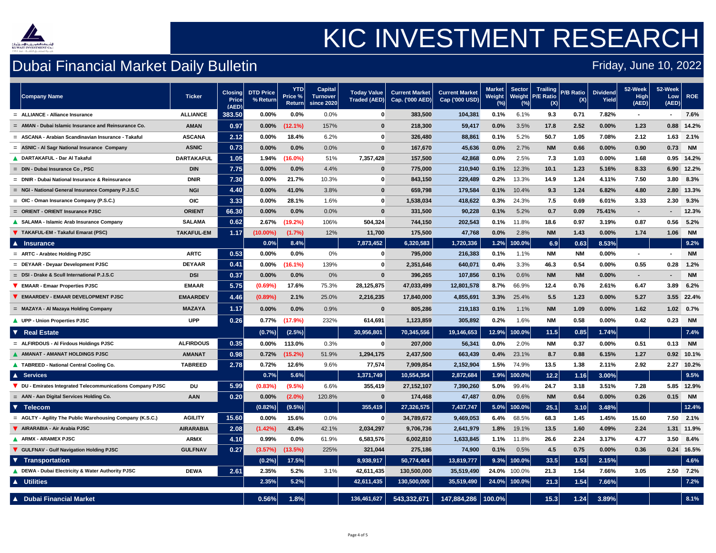

## Dubai Financial Market Daily Bulletin

### Friday, June 10, 2022

# KIC INVESTMENT RESEARCH

| <b>Ticker</b><br><b>Company Name</b>                                          | <b>Closing</b><br><b>Price</b><br>(AED) | DTD Price<br>$%$ Return | <b>YTD</b><br>Price %<br><b>Return</b> | <b>Capital</b><br><b>Turnover</b><br>since 2020 | <b>Today Value</b> | <b>Current Market</b><br>Traded (AED) Cap. ('000 AED) | <b>Current Market</b><br>Cap ('000 USD) | <b>Market</b><br>Weight $\mid$ | <b>Sector</b><br><b>Weight</b> | <b>Trailing</b><br><b>P/E Ratio</b><br>(X) | <b>P/B Ratio</b><br>(X) | <b>Dividend</b><br><b>Yield</b> | $52$ -Week<br>High<br>(AED) | 52-Week<br>Low<br>(AED) | <b>ROE</b> |
|-------------------------------------------------------------------------------|-----------------------------------------|-------------------------|----------------------------------------|-------------------------------------------------|--------------------|-------------------------------------------------------|-----------------------------------------|--------------------------------|--------------------------------|--------------------------------------------|-------------------------|---------------------------------|-----------------------------|-------------------------|------------|
| <b>ALLIANCE</b><br>= ALLIANCE - Alliance Insurance                            | 383.50                                  | $0.00\%$                | $0.0\%$                                | 0.0%                                            |                    | 383,500                                               | 104,381                                 | 0.1%                           | 6.1%                           | 9.3                                        | 0.71                    | 7.82%                           | $\blacksquare$              |                         | 7.6%       |
| <b>AMAN</b><br>- Dubai Islamic Insurance and Reinsurance Co.<br>$=$ AMAN      | 0.97                                    | $0.00\%$                | $(12.1\%)$                             | 157%                                            | $\mathbf 0$        | 218,300                                               | 59,417                                  | 0.0%                           | 3.5%                           | 17.8                                       | 2.52                    | $0.00\%$                        | 1.23                        | 0.88                    | 14.2%      |
| <b>ASCANA</b><br>$=$ ASCANA - Arabian Scandinavian Insurance - Takaful        | 2.12                                    | $0.00\%$                | 18.4%                                  | 6.2%                                            | $\mathbf{0}$       | 326,480                                               | 88,861                                  | 0.1%                           | 5.2%                           | 50.7                                       | 1.05                    | 7.08%                           | 2.12                        | 1.63                    | 2.1%       |
| <b>ASNIC</b><br>= ASNIC - Al Sagr National Insurance Company                  | 0.73                                    | $0.00\%$                | 0.0%                                   | 0.0%                                            | $\mathbf{0}$       | 167,670                                               | 45,636                                  | $0.0\%$                        | 2.7%                           | <b>NM</b>                                  | 0.66                    | $0.00\%$                        | 0.90                        | 0.73                    | <b>NM</b>  |
| <b>DARTAKAFUL</b><br><b>DARTAKAFUL - Dar Al Takaful</b>                       | 1.05                                    | $1.94\%$                | $(16.0\%)$                             | 51%                                             | 7,357,428          | 157,500                                               | 42,868                                  | 0.0%                           | 2.5%                           | 7.3                                        | 1.03                    | $0.00\%$                        | 1.68                        | 0.95                    | 14.2%      |
| <b>DIN</b><br>$=$ DIN - Dubai Insurance Co, PSC                               | 7.75                                    | $0.00\%$                | $0.0\%$                                | 4.4%                                            | $\mathbf{0}$       | 775,000                                               | 210,940                                 | 0.1%                           | 12.3%                          | 10.1                                       | 1.23                    | 5.16%                           | 8.33                        | 6.90                    | 12.2%      |
| <b>DNIR</b><br><b>Dubai National Insurance &amp; Reinsurance</b><br>$=$ DNIR  | 7.30                                    | $0.00\%$                | 21.7%                                  | 10.3%                                           | $\mathbf{0}$       | 843,150                                               | 229,489                                 | 0.2%                           | 13.3%                          | 14.9                                       | 1.24                    | 4.11%                           | 7.50                        | 3.80                    | 8.3%       |
| <b>NGI</b><br>= NGI - National General Insurance Company P.J.S.C              | 4.40                                    | $0.00\%$                | 41.0%                                  | 3.8%                                            | $\mathbf{0}$       | 659,798                                               | 179,584                                 | 0.1%                           | 10.4%                          | 9.3                                        | 1.24                    | 6.82%                           | 4.80                        | 2.80                    | 13.3%      |
| <b>OIC</b><br>$=$ OIC - Oman Insurance Company (P.S.C.)                       | 3.33                                    | $0.00\%$                | 28.1%                                  | 1.6%                                            | $\mathbf{0}$       | 1,538,034                                             | 418,622                                 | 0.3%                           | 24.3%                          | 7.5                                        | 0.69                    | 6.01%                           | 3.33                        | 2.30                    | 9.3%       |
| <b>ORIENT</b><br>= ORIENT - ORIENT Insurance PJSC                             | 66.30                                   | $0.00\%$                | 0.0%                                   | 0.0%                                            | $\boldsymbol{0}$   | 331,500                                               | 90,228                                  | 0.1%                           | 5.2%                           | 0.7                                        | 0.09                    | 75.41%                          | $\sim$                      | $\sim$                  | 12.3%      |
| <b>SALAMA</b><br><b>SALAMA - Islamic Arab Insurance Company</b>               | 0.62                                    | 2.67%                   | $(19.2\%)$                             | 106%                                            | 504,324            | 744,150                                               | 202,543                                 | 0.1%                           | 11.8%                          | 18.6                                       | 0.97                    | 3.19%                           | 0.87                        | 0.56                    | 5.2%       |
| <b>TAKAFUL-EM</b><br><b>V</b> TAKAFUL-EM - Takaful Emarat (PSC)               | 1.17                                    | $(10.00\%)$             | (1.7%)                                 | 12%                                             | 11,700             | 175,500                                               | 47,768                                  | 0.0%                           | 2.8%                           | <b>NM</b>                                  | 1.43                    | $0.00\%$                        | 1.74                        | 1.06                    | <b>NM</b>  |
| <b>A</b> Insurance                                                            |                                         | $0.0\%$                 | 8.4%                                   |                                                 | 7,873,452          | 6,320,583                                             | 1,720,336                               | 1.2%                           | $ 100.0\% $                    | 6.9                                        | 0.63                    | 8.53%                           |                             |                         | 9.2%       |
| <b>ARTC</b><br>$=$ ARTC - Arabtec Holding PJSC                                | 0.53                                    | $0.00\%$                | 0.0%                                   | $0\%$                                           |                    | 795,000                                               | 216,383                                 | 0.1%                           | 1.1%                           | <b>NM</b>                                  | <b>NM</b>               | $0.00\%$                        | $\blacksquare$              |                         | <b>NM</b>  |
| <b>DEYAAR</b><br>= DEYAAR - Deyaar Development PJSC                           | [0.41]                                  | $0.00\%$                | $(16.1\%)$                             | 139%                                            |                    | 2,351,646                                             | 640,071                                 | 0.4%                           | 3.3%                           | 46.3                                       | 0.54                    | $0.00\%$                        | 0.55                        | 0.28                    | 1.2%       |
| $=$ DSI-Drake & Scull International P.J.S.C<br><b>DSI</b>                     | 0.37                                    | $0.00\%$                | 0.0%                                   | $0\%$                                           | $\mathbf{0}$       | 396,265                                               | 107,856                                 | 0.1%                           | 0.6%                           | <b>NM</b>                                  | <b>NM</b>               | $0.00\%$                        | $\blacksquare$              | $\blacksquare$          | <b>NM</b>  |
| <b>EMAAR</b><br><b>EMAAR - Emaar Properties PJSC</b>                          | 5.75                                    | $(0.69\%)$              | 17.6%                                  | 75.3%                                           | 28,125,875         | 47,033,499                                            | 12,801,578                              | 8.7%                           | 66.9%                          | 12.4                                       | 0.76                    | 2.61%                           | 6.47                        | 3.89                    | 6.2%       |
| <b>EMAARDEV</b><br><b>EMAARDEV - EMAAR DEVELOPMENT PJSC</b>                   | 4.46                                    | $(0.89\%)$              | 2.1%                                   | 25.0%                                           | 2,216,235          | 17,840,000                                            | 4,855,691                               | 3.3%                           | 25.4%                          | 5.5                                        | 1.23                    | $0.00\%$                        | 5.27                        | 3.55                    | 22.4%      |
| <b>MAZAYA</b><br>= MAZAYA - Al Mazaya Holding Company                         | 1.17                                    | $0.00\%$                | 0.0%                                   | 0.9%                                            | $\boldsymbol{0}$   | 805,286                                               | 219,183                                 | 0.1%                           | 1.1%                           | <b>NM</b>                                  | 1.09                    | $0.00\%$                        | 1.62                        | 1.02                    | 0.7%       |
| <b>UPP</b><br><b>UPP - Union Properties PJSC</b>                              | 0.26                                    | 0.77%                   | $(17.9\%)$                             | 232%                                            | 614,691            | 1,123,859                                             | 305,892                                 | 0.2%                           | 1.6%                           | <b>NM</b>                                  | 0.58                    | $0.00\%$                        | 0.42                        | 0.23                    | <b>NM</b>  |
| <b>▼ Real Estate</b>                                                          |                                         | (0.7%                   | (2.5%)                                 |                                                 | 30,956,801         | 70,345,556                                            | 19,146,653                              | 12.9%                          | $ 100.0\% $                    | 11.5                                       | 0.85                    | 1.74%                           |                             |                         | 7.4%       |
| <b>ALFIRDOUS</b><br>$=$ ALFIRDOUS - Al Firdous Holdings PJSC                  | 0.35                                    | $0.00\%$                | 113.0%                                 | 0.3%                                            | $\bf{0}$           | 207,000                                               | 56,341                                  | 0.0%                           | 2.0%                           | <b>NM</b>                                  | 0.37                    | $0.00\%$                        | 0.51                        | 0.13                    | <b>NM</b>  |
| <b>AMANAT</b><br><b>AMANAT - AMANAT HOLDINGS PJSC</b>                         | 0.98                                    | 0.72%                   | $(15.2\%)$                             | 51.9%                                           | 1,294,175          | 2,437,500                                             | 663,439                                 | 0.4%                           | 23.1%                          | 8.7                                        | 0.88                    | 6.15%                           | 1.27                        | 0.92                    | 10.1%      |
| <b>TABREED</b><br><b>A TABREED - National Central Cooling Co.</b>             | $\overline{.2.78}$                      | 0.72%                   | 12.6%                                  | 9.6%                                            | 77,574             | 7,909,854                                             | 2,152,904                               | 1.5%                           | 74.9%                          | 13.5                                       | 1.38                    | 2.11%                           | 2.92                        | 2.27                    | 10.2%      |
| A Services                                                                    |                                         | 0.7%                    | 5.6%                                   |                                                 | 1,371,749          | 10,554,354                                            | 2,872,684                               |                                | 1.9% 100.0%                    | 12.2                                       | 1.16                    | $3.00\%$                        |                             |                         | 9.5%       |
| <b>DU</b><br>DU - Emirates Integrated Telecommunications Company PJSC         | 5.99                                    | (0.83%)                 | (9.5%)                                 | 6.6%                                            | 355,419            | 27, 152, 107                                          | 7,390,260                               | 5.0%                           | 99.4%                          | 24.7                                       | 3.18                    | 3.51%                           | 7.28                        | 5.85                    | 12.9%      |
| <b>AAN</b><br>= AAN - Aan Digital Services Holding Co.                        | 0.20                                    | $0.00\%$                | $(2.0\%)$                              | 120.8%                                          | $\bf{0}$           | 174,468                                               | 47,487                                  | 0.0%                           | 0.6%                           | <b>NM</b>                                  | 0.64                    | $0.00\%$                        | 0.26                        | 0.15                    | <b>NM</b>  |
| V Telecom                                                                     |                                         | (0.82%)                 | (9.5%)                                 |                                                 | 355,419            | 27,326,575                                            | 7,437,747                               |                                | $5.0\%$ 100.0%                 | 25.1                                       | 3.10                    | 3.48%                           |                             |                         | 12.4%      |
| <b>AGILITY</b><br>$=$ AGLTY - Agility The Public Warehousing Company (K.S.C.) | 15.60                                   | $0.00\%$                | 15.6%                                  | 0.0%                                            | $\mathbf{0}$       | 34,789,672                                            | 9,469,053                               | 6.4%                           | 68.5%                          | 68.3                                       | 1.45                    | 1.45%                           | 15.60                       | 7.50                    | 2.1%       |
| AIRARABIA - Air Arabia PJSC<br><b>AIRARABIA</b>                               | 2.08                                    | (1.42%)                 | 43.4%                                  | 42.1%                                           | 2,034,297          | 9,706,736                                             | 2,641,979                               | 1.8%                           | 19.1%                          | 13.5                                       | 1.60                    | 4.09%                           | 2.24                        | $1.31$                  | 11.9%      |
| <b>ARMX - ARAMEX PJSC</b><br><b>ARMX</b>                                      | 4.10                                    | 0.99%                   | 0.0%                                   | 61.9%                                           | 6,583,576          | 6,002,810                                             | 1,633,845                               | 1.1%                           | 11.8%                          | 26.6                                       | 2.24                    | 3.17%                           | 4.77                        | 3.50                    | 8.4%       |
| <b>GULFNAV</b><br>GULFNAV - Gulf Navigation Holding PJSC                      | 0.27                                    | (3.57%)                 | (13.5%)                                | 225%                                            | 321,044            | 275,186                                               | 74,900                                  | 0.1%                           | 0.5%                           | 4.5                                        | 0.75                    | $0.00\%$                        | 0.36                        | 0.24                    | 16.5%      |
| <b>V</b> Transportation                                                       |                                         | $(0.2\%)$               | 17.5%                                  |                                                 | 8,938,917          | 50,774,404                                            | 13,819,777                              |                                | $9.3\%$ 100.0%                 | 33.5                                       | 1.53                    | 2.15%                           |                             |                         | 4.6%       |
| <b>DEWA</b><br>DEWA - Dubai Electricity & Water Authority PJSC                | 2.61                                    | 2.35%                   | 5.2%                                   | 3.1%                                            | 42,611,435         | 130,500,000                                           | 35,519,490                              |                                | <b>24.0%</b> 100.0%            | 21.3                                       | 1.54                    | 7.66%                           | 3.05                        | 2.50                    | 7.2%       |
| A Utilities                                                                   |                                         | 2.35%                   | 5.2%                                   |                                                 | 42,611,435         | 130,500,000                                           | 35,519,490                              |                                | $24.0\%$ 100.0%                | 21.3                                       | 1.54                    | 7.66%                           |                             |                         | 7.2%       |
| ▲ Dubai Financial Market                                                      |                                         | 0.56%                   | 1.8%                                   |                                                 | 136,461,627        | 543,332,671                                           | 147,884,286                             | $ 100.0\% $                    |                                | 15.3                                       | 1.24                    | 3.89%                           |                             |                         | 8.1%       |